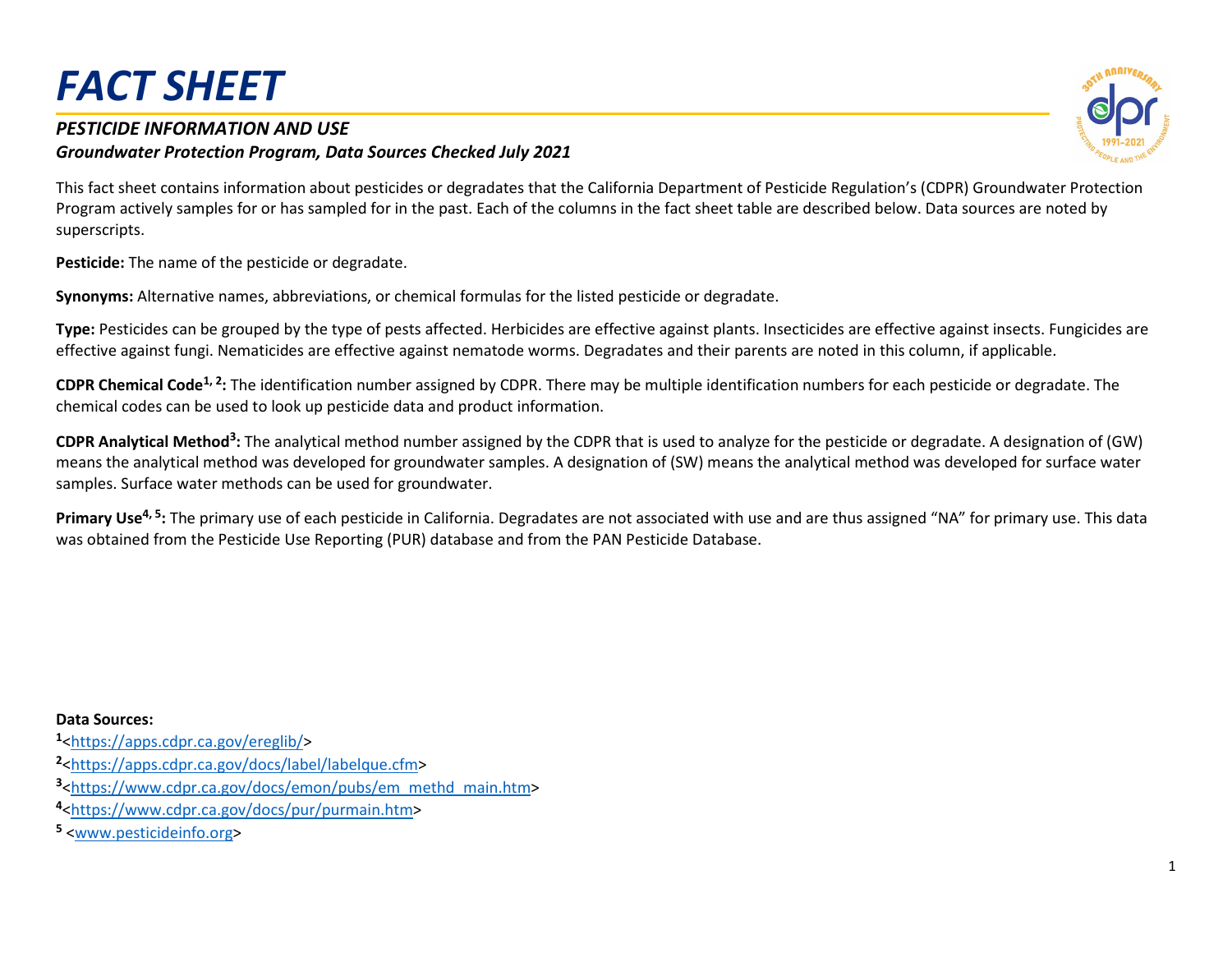#### *PESTICIDE INFORMATION AND USE Groundwater Protection Program, Data Sources Checked July 2021*

This fact sheet contains information about pesticides or degradates that the California Department of Pesticide Regulation's (CDPR) Groundwater Protection Program actively samples for or has sampled for in the past. Each of the columns in the fact sheet table are described below. Data sources are noted by superscripts.

**Pesticide:** The name of the pesticide or degradate.

**Synonyms:** Alternative names, abbreviations, or chemical formulas for the listed pesticide or degradate.

**Type:** Pesticides can be grouped by the type of pests affected. Herbicides are effective against plants. Insecticides are effective against insects. Fungicides are effective against fungi. Nematicides are effective against nematode worms. Degradates and their parents are noted in this column, if applicable.

**CDPR Chemical Code<sup>1, 2</sup>:** The identification number assigned by CDPR. There may be multiple identification numbers for each pesticide or degradate. The chemical codes can be used to look up pesticide data and product information.

CDPR Analytical Method<sup>3</sup>: The analytical method number assigned by the CDPR that is used to analyze for the pesticide or degradate. A designation of (GW) means the analytical method was developed for groundwater samples. A designation of (SW) means the analytical method was developed for surface water samples. Surface water methods can be used for groundwater.

Primary Use<sup>4, 5</sup>: The primary use of each pesticide in California. Degradates are not associated with use and are thus assigned "NA" for primary use. This data was obtained from the Pesticide Use Reporting (PUR) database and from the PAN Pesticide Database.

**Data Sources:**

**<sup>1</sup>**[<https://apps.cdpr.ca.gov/ereglib/>](https://apps.cdpr.ca.gov/ereglib/)

- **<sup>2</sup>**[<https://apps.cdpr.ca.gov/docs/label/labelque.cfm>](https://apps.cdpr.ca.gov/docs/label/labelque.cfm)
- **<sup>3</sup>**[<https://www.cdpr.ca.gov/docs/emon/pubs/em\\_methd\\_main.htm>](https://www.cdpr.ca.gov/docs/emon/pubs/em_methd_main.htm)
- **<sup>4</sup>**[<https://www.cdpr.ca.gov/docs/pur/purmain.htm>](https://www.cdpr.ca.gov/docs/pur/purmain.htm)
- **<sup>5</sup>** [<www.pesticideinfo.org>](http://www.pesticideinfo.org/)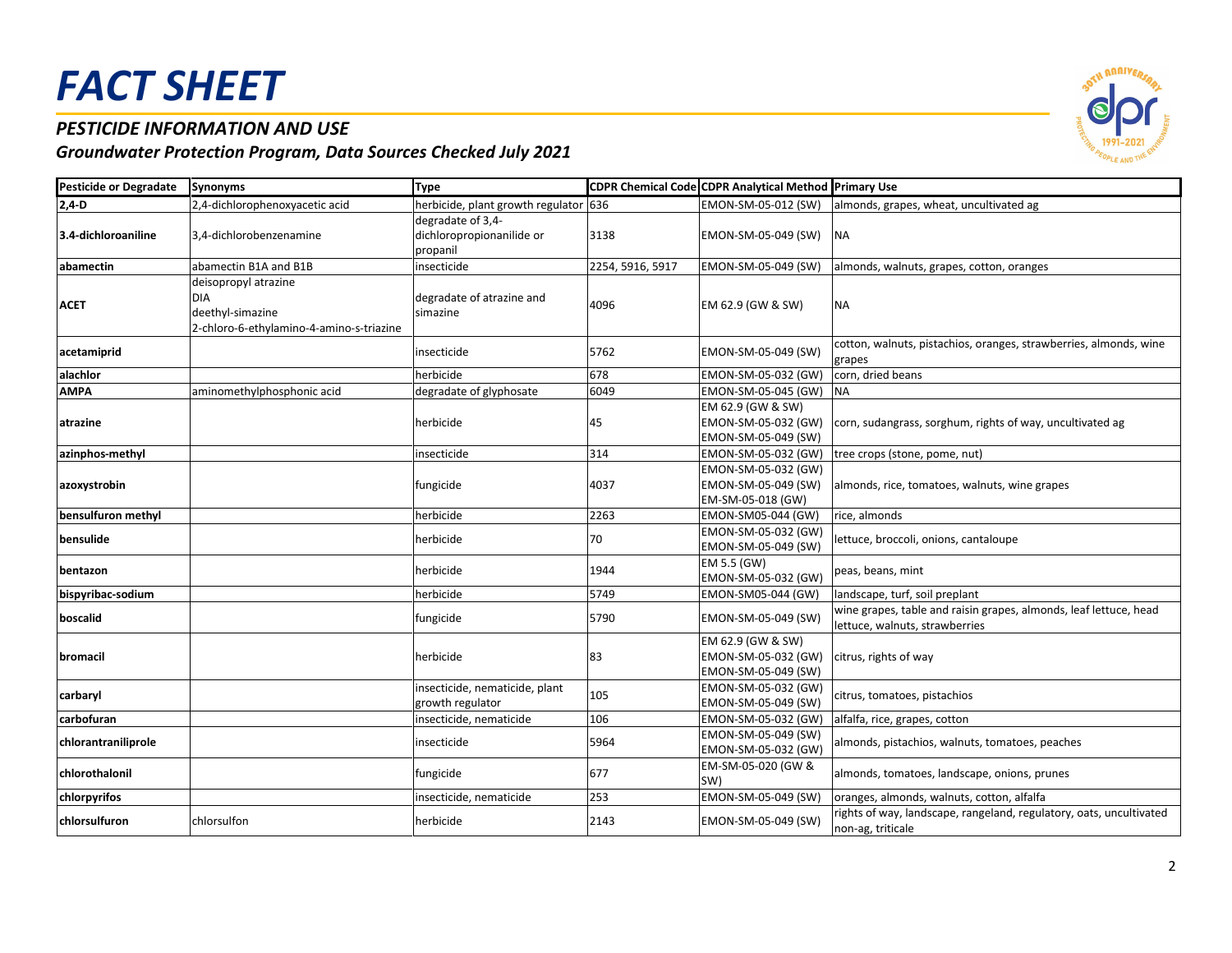### *PESTICIDE INFORMATION AND USE*



| <b>Pesticide or Degradate</b> | <b>Synonyms</b>                                                                                    | <b>Type</b>                                                |                  | CDPR Chemical Code CDPR Analytical Method Primary Use           |                                                                                                     |
|-------------------------------|----------------------------------------------------------------------------------------------------|------------------------------------------------------------|------------------|-----------------------------------------------------------------|-----------------------------------------------------------------------------------------------------|
| $2,4 - D$                     | 2,4-dichlorophenoxyacetic acid                                                                     | herbicide, plant growth regulator 636                      |                  | EMON-SM-05-012 (SW)                                             | almonds, grapes, wheat, uncultivated ag                                                             |
| 3.4-dichloroaniline           | 3,4-dichlorobenzenamine                                                                            | degradate of 3,4-<br>dichloropropionanilide or<br>propanil | 3138             | EMON-SM-05-049 (SW)                                             | <b>NA</b>                                                                                           |
| abamectin                     | abamectin B1A and B1B                                                                              | insecticide                                                | 2254, 5916, 5917 | EMON-SM-05-049 (SW)                                             | almonds, walnuts, grapes, cotton, oranges                                                           |
| <b>ACET</b>                   | deisopropyl atrazine<br><b>DIA</b><br>deethyl-simazine<br>2-chloro-6-ethylamino-4-amino-s-triazine | degradate of atrazine and<br>simazine                      | 4096             | EM 62.9 (GW & SW)                                               | <b>NA</b>                                                                                           |
| acetamiprid                   |                                                                                                    | insecticide                                                | 5762             | EMON-SM-05-049 (SW)                                             | cotton, walnuts, pistachios, oranges, strawberries, almonds, wine<br>grapes                         |
| alachlor                      |                                                                                                    | herbicide                                                  | 678              | EMON-SM-05-032 (GW)                                             | corn, dried beans                                                                                   |
| <b>AMPA</b>                   | aminomethylphosphonic acid                                                                         | degradate of glyphosate                                    | 6049             | EMON-SM-05-045 (GW)                                             | <b>NA</b>                                                                                           |
| atrazine                      |                                                                                                    | herbicide                                                  | 45               | EM 62.9 (GW & SW)<br>EMON-SM-05-032 (GW)<br>EMON-SM-05-049 (SW) | corn, sudangrass, sorghum, rights of way, uncultivated ag                                           |
| azinphos-methyl               |                                                                                                    | insecticide                                                | 314              | EMON-SM-05-032 (GW)                                             | tree crops (stone, pome, nut)                                                                       |
| azoxystrobin                  |                                                                                                    | fungicide                                                  | 4037             | EMON-SM-05-032 (GW)<br>EMON-SM-05-049 (SW)<br>EM-SM-05-018 (GW) | almonds, rice, tomatoes, walnuts, wine grapes                                                       |
| bensulfuron methyl            |                                                                                                    | herbicide                                                  | 2263             | EMON-SM05-044 (GW)                                              | rice, almonds                                                                                       |
| bensulide                     |                                                                                                    | herbicide                                                  | 70               | EMON-SM-05-032 (GW)<br>EMON-SM-05-049 (SW)                      | lettuce, broccoli, onions, cantaloupe                                                               |
| bentazon                      |                                                                                                    | herbicide                                                  | 1944             | EM 5.5 (GW)<br>EMON-SM-05-032 (GW)                              | peas, beans, mint                                                                                   |
| bispyribac-sodium             |                                                                                                    | herbicide                                                  | 5749             | EMON-SM05-044 (GW)                                              | landscape, turf, soil preplant                                                                      |
| boscalid                      |                                                                                                    | fungicide                                                  | 5790             | EMON-SM-05-049 (SW)                                             | wine grapes, table and raisin grapes, almonds, leaf lettuce, head<br>lettuce, walnuts, strawberries |
| bromacil                      |                                                                                                    | herbicide                                                  | 83               | EM 62.9 (GW & SW)<br>EMON-SM-05-032 (GW)<br>EMON-SM-05-049 (SW) | citrus, rights of way                                                                               |
| carbaryl                      |                                                                                                    | insecticide, nematicide, plant<br>growth regulator         | 105              | EMON-SM-05-032 (GW)<br>EMON-SM-05-049 (SW)                      | citrus, tomatoes, pistachios                                                                        |
| carbofuran                    |                                                                                                    | insecticide, nematicide                                    | 106              | EMON-SM-05-032 (GW)                                             | alfalfa, rice, grapes, cotton                                                                       |
| chlorantraniliprole           |                                                                                                    | insecticide                                                | 5964             | EMON-SM-05-049 (SW)<br>EMON-SM-05-032 (GW)                      | almonds, pistachios, walnuts, tomatoes, peaches                                                     |
| chlorothalonil                |                                                                                                    | fungicide                                                  | 677              | EM-SM-05-020 (GW &<br>(SW)                                      | almonds, tomatoes, landscape, onions, prunes                                                        |
| chlorpyrifos                  |                                                                                                    | insecticide, nematicide                                    | 253              | EMON-SM-05-049 (SW)                                             | oranges, almonds, walnuts, cotton, alfalfa                                                          |
| chlorsulfuron                 | chlorsulfon                                                                                        | herbicide                                                  | 2143             | EMON-SM-05-049 (SW)                                             | rights of way, landscape, rangeland, regulatory, oats, uncultivated<br>non-ag, triticale            |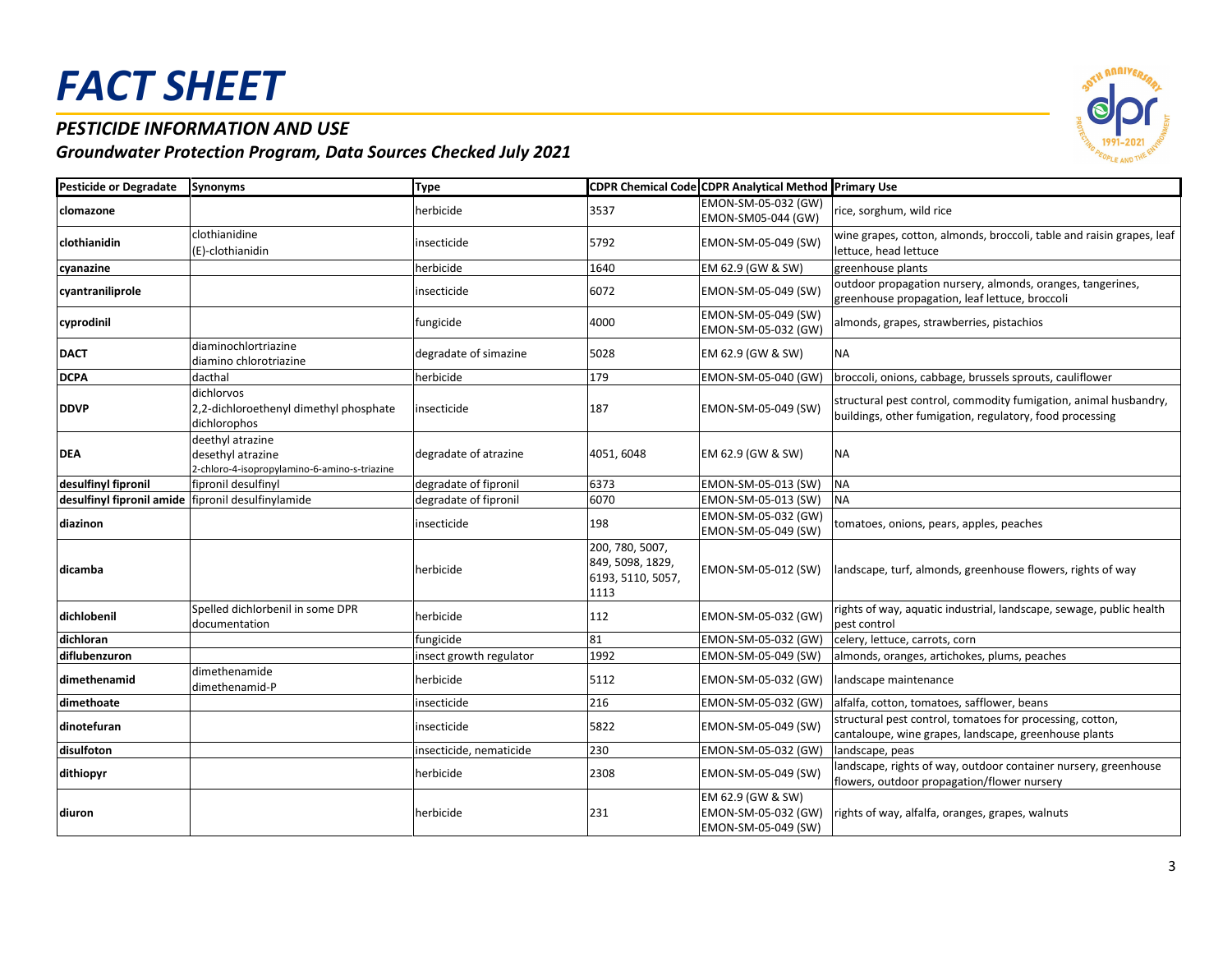### *PESTICIDE INFORMATION AND USE*



| <b>Pesticide or Degradate</b>                      | <b>Synonyms</b>                                                                       | <b>Type</b>             |                                                                  | CDPR Chemical Code CDPR Analytical Method Primary Use           |                                                                                                                              |
|----------------------------------------------------|---------------------------------------------------------------------------------------|-------------------------|------------------------------------------------------------------|-----------------------------------------------------------------|------------------------------------------------------------------------------------------------------------------------------|
| <b>Iclomazone</b>                                  |                                                                                       | herbicide               | 3537                                                             | EMON-SM-05-032 (GW)<br>EMON-SM05-044 (GW)                       | rice, sorghum, wild rice                                                                                                     |
| clothianidin                                       | clothianidine<br>(E)-clothianidin                                                     | insecticide             | 5792                                                             | EMON-SM-05-049 (SW)                                             | wine grapes, cotton, almonds, broccoli, table and raisin grapes, leaf<br>lettuce, head lettuce                               |
| cyanazine                                          |                                                                                       | herbicide               | 1640                                                             | EM 62.9 (GW & SW)                                               | greenhouse plants                                                                                                            |
| cyantraniliprole                                   |                                                                                       | insecticide             | 6072                                                             | EMON-SM-05-049 (SW)                                             | outdoor propagation nursery, almonds, oranges, tangerines,<br>greenhouse propagation, leaf lettuce, broccoli                 |
| cyprodinil                                         |                                                                                       | fungicide               | 4000                                                             | EMON-SM-05-049 (SW)<br>EMON-SM-05-032 (GW)                      | almonds, grapes, strawberries, pistachios                                                                                    |
| <b>DACT</b>                                        | diaminochlortriazine<br>diamino chlorotriazine                                        | degradate of simazine   | 5028                                                             | EM 62.9 (GW & SW)                                               | ΝA                                                                                                                           |
| <b>DCPA</b>                                        | dacthal                                                                               | herbicide               | 179                                                              | EMON-SM-05-040 (GW)                                             | broccoli, onions, cabbage, brussels sprouts, cauliflower                                                                     |
| <b>DDVP</b>                                        | dichlorvos<br>2,2-dichloroethenyl dimethyl phosphate<br>dichlorophos                  | insecticide             | 187                                                              | EMON-SM-05-049 (SW)                                             | structural pest control, commodity fumigation, animal husbandry,<br>buildings, other fumigation, regulatory, food processing |
| <b>DEA</b>                                         | deethyl atrazine<br>desethyl atrazine<br>2-chloro-4-isopropylamino-6-amino-s-triazine | degradate of atrazine   | 4051, 6048                                                       | EM 62.9 (GW & SW)                                               | ΝA                                                                                                                           |
| desulfinyl fipronil                                | fipronil desulfinyl                                                                   | degradate of fipronil   | 6373                                                             | EMON-SM-05-013 (SW)                                             | <b>NA</b>                                                                                                                    |
| desulfinyl fipronil amide fipronil desulfinylamide |                                                                                       | degradate of fipronil   | 6070                                                             | EMON-SM-05-013 (SW)                                             | <b>NA</b>                                                                                                                    |
| diazinon                                           |                                                                                       | insecticide             | 198                                                              | EMON-SM-05-032 (GW)<br>EMON-SM-05-049 (SW)                      | tomatoes, onions, pears, apples, peaches                                                                                     |
| dicamba                                            |                                                                                       | herbicide               | 200, 780, 5007,<br>849, 5098, 1829,<br>6193, 5110, 5057,<br>1113 | EMON-SM-05-012 (SW)                                             | landscape, turf, almonds, greenhouse flowers, rights of way                                                                  |
| dichlobenil                                        | Spelled dichlorbenil in some DPR<br>documentation                                     | herbicide               | 112                                                              | EMON-SM-05-032 (GW)                                             | rights of way, aquatic industrial, landscape, sewage, public health<br>pest control                                          |
| dichloran                                          |                                                                                       | fungicide               | 81                                                               | EMON-SM-05-032 (GW)                                             | celery, lettuce, carrots, corn                                                                                               |
| diflubenzuron                                      |                                                                                       | insect growth regulator | 1992                                                             | EMON-SM-05-049 (SW)                                             | almonds, oranges, artichokes, plums, peaches                                                                                 |
| dimethenamid                                       | dimethenamide<br>dimethenamid-P                                                       | herbicide               | 5112                                                             | EMON-SM-05-032 (GW)                                             | landscape maintenance                                                                                                        |
| dimethoate                                         |                                                                                       | insecticide             | 216                                                              | EMON-SM-05-032 (GW)                                             | alfalfa, cotton, tomatoes, safflower, beans                                                                                  |
| dinotefuran                                        |                                                                                       | insecticide             | 5822                                                             | EMON-SM-05-049 (SW)                                             | structural pest control, tomatoes for processing, cotton,<br>cantaloupe, wine grapes, landscape, greenhouse plants           |
| disulfoton                                         |                                                                                       | insecticide, nematicide | 230                                                              | EMON-SM-05-032 (GW)                                             | landscape, peas                                                                                                              |
| dithiopyr                                          |                                                                                       | herbicide               | 2308                                                             | EMON-SM-05-049 (SW)                                             | landscape, rights of way, outdoor container nursery, greenhouse<br>flowers, outdoor propagation/flower nursery               |
| diuron                                             |                                                                                       | herbicide               | 231                                                              | EM 62.9 (GW & SW)<br>EMON-SM-05-032 (GW)<br>EMON-SM-05-049 (SW) | rights of way, alfalfa, oranges, grapes, walnuts                                                                             |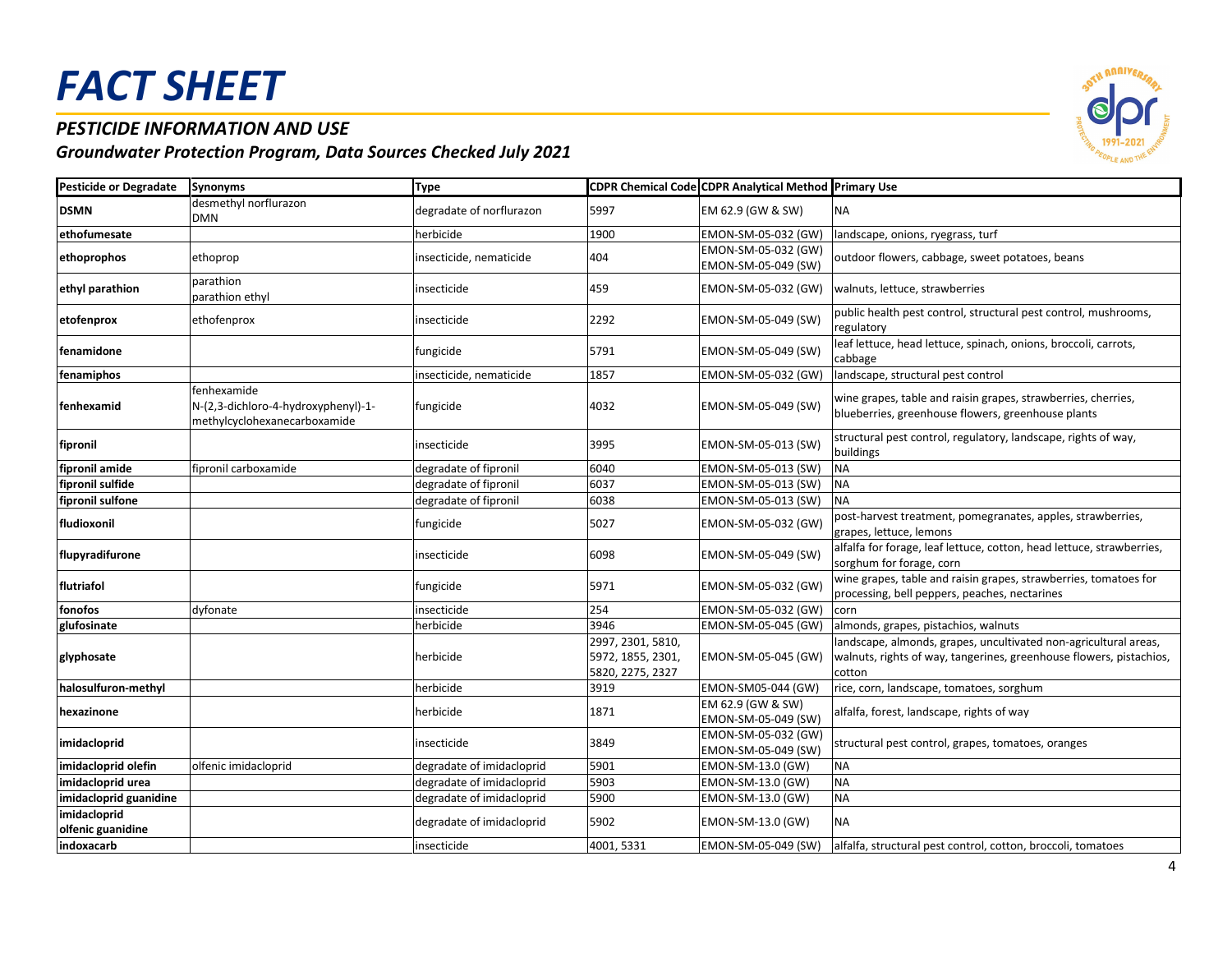### *PESTICIDE INFORMATION AND USE*



| <b>Pesticide or Degradate</b>     | <b>Synonyms</b>                                                                    | <b>Type</b>               |                                                            | <b>CDPR Chemical Code CDPR Analytical Method Primary Use</b> |                                                                                                                                                   |
|-----------------------------------|------------------------------------------------------------------------------------|---------------------------|------------------------------------------------------------|--------------------------------------------------------------|---------------------------------------------------------------------------------------------------------------------------------------------------|
| <b>DSMN</b>                       | desmethyl norflurazon<br><b>DMN</b>                                                | degradate of norflurazon  | 5997                                                       | EM 62.9 (GW & SW)                                            | <b>NA</b>                                                                                                                                         |
| ethofumesate                      |                                                                                    | herbicide                 | 1900                                                       | EMON-SM-05-032 (GW)                                          | landscape, onions, ryegrass, turf                                                                                                                 |
| ethoprophos                       | ethoprop                                                                           | insecticide, nematicide   | 404                                                        | EMON-SM-05-032 (GW)<br>EMON-SM-05-049 (SW)                   | outdoor flowers, cabbage, sweet potatoes, beans                                                                                                   |
| ethyl parathion                   | parathion<br>parathion ethyl                                                       | insecticide               | 459                                                        | EMON-SM-05-032 (GW)                                          | walnuts, lettuce, strawberries                                                                                                                    |
| etofenprox                        | ethofenprox                                                                        | insecticide               | 2292                                                       | EMON-SM-05-049 (SW)                                          | public health pest control, structural pest control, mushrooms,<br>regulatory                                                                     |
| fenamidone                        |                                                                                    | fungicide                 | 5791                                                       | EMON-SM-05-049 (SW)                                          | leaf lettuce, head lettuce, spinach, onions, broccoli, carrots,<br>cabbage                                                                        |
| fenamiphos                        |                                                                                    | insecticide, nematicide   | 1857                                                       | EMON-SM-05-032 (GW)                                          | landscape, structural pest control                                                                                                                |
| fenhexamid                        | fenhexamide<br>N-(2,3-dichloro-4-hydroxyphenyl)-1-<br>methylcyclohexanecarboxamide | fungicide                 | 4032                                                       | EMON-SM-05-049 (SW)                                          | wine grapes, table and raisin grapes, strawberries, cherries,<br>blueberries, greenhouse flowers, greenhouse plants                               |
| fipronil                          |                                                                                    | insecticide               | 3995                                                       | EMON-SM-05-013 (SW)                                          | structural pest control, regulatory, landscape, rights of way,<br>buildings                                                                       |
| fipronil amide                    | fipronil carboxamide                                                               | degradate of fipronil     | 6040                                                       | EMON-SM-05-013 (SW)                                          | <b>NA</b>                                                                                                                                         |
| fipronil sulfide                  |                                                                                    | degradate of fipronil     | 6037                                                       | EMON-SM-05-013 (SW)                                          | <b>NA</b>                                                                                                                                         |
| fipronil sulfone                  |                                                                                    | degradate of fipronil     | 6038                                                       | EMON-SM-05-013 (SW)                                          | <b>NA</b>                                                                                                                                         |
| fludioxonil                       |                                                                                    | fungicide                 | 5027                                                       | EMON-SM-05-032 (GW)                                          | post-harvest treatment, pomegranates, apples, strawberries,<br>grapes, lettuce, lemons                                                            |
| flupyradifurone                   |                                                                                    | insecticide               | 6098                                                       | EMON-SM-05-049 (SW)                                          | alfalfa for forage, leaf lettuce, cotton, head lettuce, strawberries,<br>sorghum for forage, corn                                                 |
| flutriafol                        |                                                                                    | fungicide                 | 5971                                                       | EMON-SM-05-032 (GW)                                          | wine grapes, table and raisin grapes, strawberries, tomatoes for<br>processing, bell peppers, peaches, nectarines                                 |
| fonofos                           | dyfonate                                                                           | insecticide               | 254                                                        | EMON-SM-05-032 (GW)                                          | corn                                                                                                                                              |
| glufosinate                       |                                                                                    | herbicide                 | 3946                                                       | EMON-SM-05-045 (GW)                                          | almonds, grapes, pistachios, walnuts                                                                                                              |
| glyphosate                        |                                                                                    | herbicide                 | 2997, 2301, 5810,<br>5972, 1855, 2301,<br>5820, 2275, 2327 | EMON-SM-05-045 (GW)                                          | landscape, almonds, grapes, uncultivated non-agricultural areas,<br>walnuts, rights of way, tangerines, greenhouse flowers, pistachios,<br>cotton |
| halosulfuron-methyl               |                                                                                    | herbicide                 | 3919                                                       | EMON-SM05-044 (GW)                                           | rice, corn, landscape, tomatoes, sorghum                                                                                                          |
| hexazinone                        |                                                                                    | herbicide                 | 1871                                                       | EM 62.9 (GW & SW)<br>EMON-SM-05-049 (SW)                     | alfalfa, forest, landscape, rights of way                                                                                                         |
| imidacloprid                      |                                                                                    | insecticide               | 3849                                                       | EMON-SM-05-032 (GW)<br>EMON-SM-05-049 (SW)                   | structural pest control, grapes, tomatoes, oranges                                                                                                |
| imidacloprid olefin               | olfenic imidacloprid                                                               | degradate of imidacloprid | 5901                                                       | EMON-SM-13.0 (GW)                                            | <b>NA</b>                                                                                                                                         |
| imidacloprid urea                 |                                                                                    | degradate of imidacloprid | 5903                                                       | EMON-SM-13.0 (GW)                                            | <b>NA</b>                                                                                                                                         |
| imidacloprid guanidine            |                                                                                    | degradate of imidacloprid | 5900                                                       | EMON-SM-13.0 (GW)                                            | <b>NA</b>                                                                                                                                         |
| imidacloprid<br>olfenic guanidine |                                                                                    | degradate of imidacloprid | 5902                                                       | EMON-SM-13.0 (GW)                                            | <b>NA</b>                                                                                                                                         |
| indoxacarb                        |                                                                                    | insecticide               | 4001, 5331                                                 | EMON-SM-05-049 (SW)                                          | alfalfa, structural pest control, cotton, broccoli, tomatoes                                                                                      |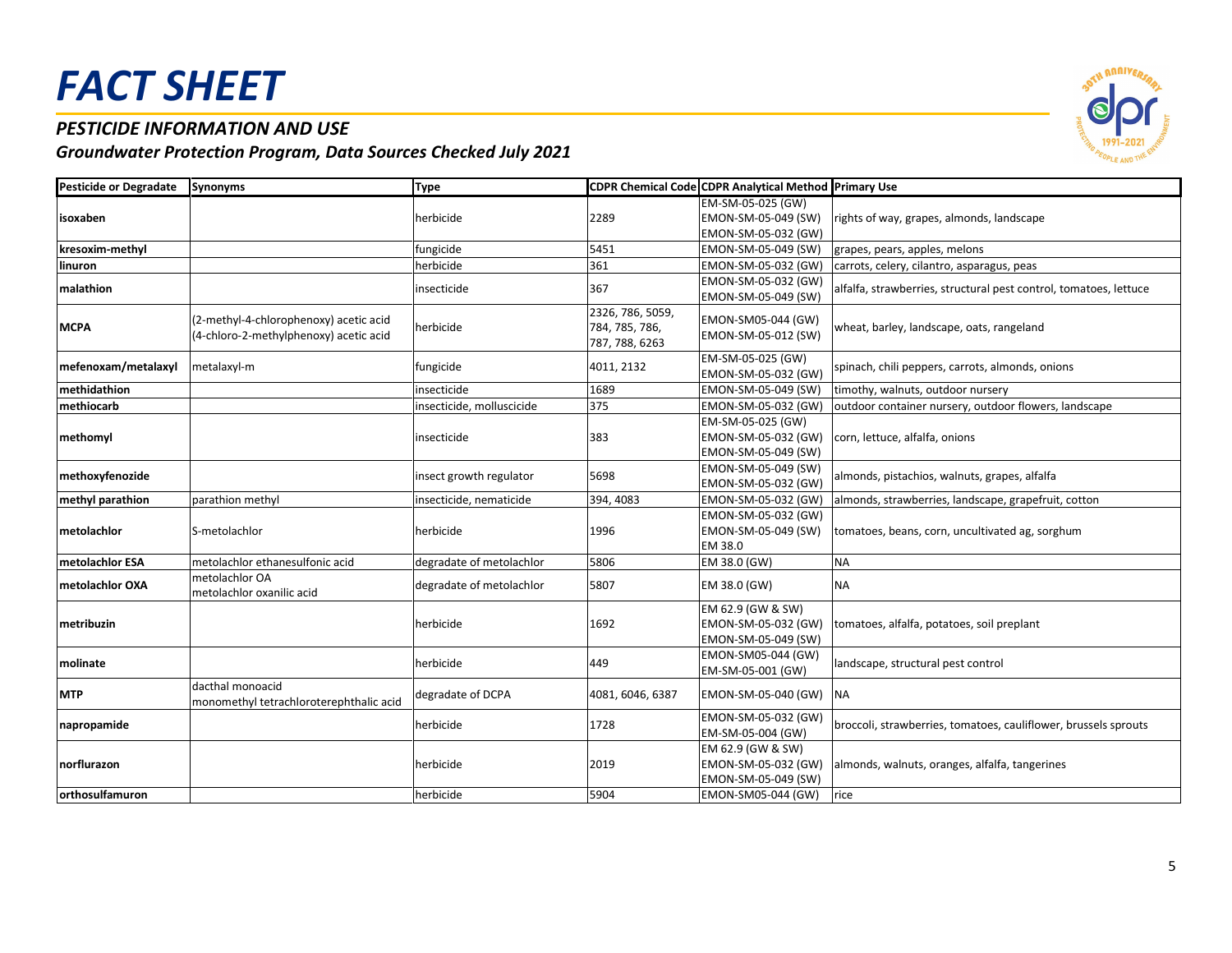#### *PESTICIDE INFORMATION AND USE*

| <b>Pesticide or Degradate</b> | <b>Synonyms</b>                                                                  | <b>Type</b>               |                                                      | CDPR Chemical Code CDPR Analytical Method Primary Use           |                                                                   |
|-------------------------------|----------------------------------------------------------------------------------|---------------------------|------------------------------------------------------|-----------------------------------------------------------------|-------------------------------------------------------------------|
| isoxaben                      |                                                                                  | herbicide                 | 2289                                                 | EM-SM-05-025 (GW)<br>EMON-SM-05-049 (SW)<br>EMON-SM-05-032 (GW) | rights of way, grapes, almonds, landscape                         |
| kresoxim-methyl               |                                                                                  | fungicide                 | 5451                                                 | EMON-SM-05-049 (SW)                                             | grapes, pears, apples, melons                                     |
| linuron                       |                                                                                  | herbicide                 | 361                                                  | EMON-SM-05-032 (GW)                                             | carrots, celery, cilantro, asparagus, peas                        |
| malathion                     |                                                                                  | insecticide               | 367                                                  | EMON-SM-05-032 (GW)<br>EMON-SM-05-049 (SW)                      | alfalfa, strawberries, structural pest control, tomatoes, lettuce |
| <b>MCPA</b>                   | (2-methyl-4-chlorophenoxy) acetic acid<br>(4-chloro-2-methylphenoxy) acetic acid | herbicide                 | 2326, 786, 5059,<br>784, 785, 786,<br>787, 788, 6263 | EMON-SM05-044 (GW)<br>EMON-SM-05-012 (SW)                       | wheat, barley, landscape, oats, rangeland                         |
| mefenoxam/metalaxyl           | metalaxyl-m                                                                      | fungicide                 | 4011, 2132                                           | EM-SM-05-025 (GW)<br>EMON-SM-05-032 (GW)                        | spinach, chili peppers, carrots, almonds, onions                  |
| methidathion                  |                                                                                  | insecticide               | 1689                                                 | EMON-SM-05-049 (SW)                                             | timothy, walnuts, outdoor nursery                                 |
| methiocarb                    |                                                                                  | insecticide, molluscicide | 375                                                  | EMON-SM-05-032 (GW)                                             | outdoor container nursery, outdoor flowers, landscape             |
| methomyl                      |                                                                                  | insecticide               | 383                                                  | EM-SM-05-025 (GW)<br>EMON-SM-05-032 (GW)<br>EMON-SM-05-049 (SW) | corn, lettuce, alfalfa, onions                                    |
| methoxyfenozide               |                                                                                  | insect growth regulator   | 5698                                                 | EMON-SM-05-049 (SW)<br>EMON-SM-05-032 (GW)                      | almonds, pistachios, walnuts, grapes, alfalfa                     |
| methyl parathion              | parathion methyl                                                                 | insecticide, nematicide   | 394, 4083                                            | EMON-SM-05-032 (GW)                                             | almonds, strawberries, landscape, grapefruit, cotton              |
| metolachlor                   | S-metolachlor                                                                    | herbicide                 | 1996                                                 | EMON-SM-05-032 (GW)<br>EMON-SM-05-049 (SW)<br>EM 38.0           | tomatoes, beans, corn, uncultivated ag, sorghum                   |
| metolachlor ESA               | metolachlor ethanesulfonic acid                                                  | degradate of metolachlor  | 5806                                                 | EM 38.0 (GW)                                                    | <b>NA</b>                                                         |
| metolachlor OXA               | metolachlor OA<br>metolachlor oxanilic acid                                      | degradate of metolachlor  | 5807                                                 | EM 38.0 (GW)                                                    | <b>NA</b>                                                         |
| metribuzin                    |                                                                                  | herbicide                 | 1692                                                 | EM 62.9 (GW & SW)<br>EMON-SM-05-032 (GW)<br>EMON-SM-05-049 (SW) | tomatoes, alfalfa, potatoes, soil preplant                        |
| molinate                      |                                                                                  | herbicide                 | 449                                                  | EMON-SM05-044 (GW)<br>EM-SM-05-001 (GW)                         | landscape, structural pest control                                |
| MTP                           | dacthal monoacid<br>monomethyl tetrachloroterephthalic acid                      | degradate of DCPA         | 4081, 6046, 6387                                     | EMON-SM-05-040 (GW)                                             | <b>NA</b>                                                         |
| napropamide                   |                                                                                  | herbicide                 | 1728                                                 | EMON-SM-05-032 (GW)<br>EM-SM-05-004 (GW)                        | broccoli, strawberries, tomatoes, cauliflower, brussels sprouts   |
| norflurazon                   |                                                                                  | herbicide                 | 2019                                                 | EM 62.9 (GW & SW)<br>EMON-SM-05-032 (GW)<br>EMON-SM-05-049 (SW) | almonds, walnuts, oranges, alfalfa, tangerines                    |
| orthosulfamuron               |                                                                                  | herbicide                 | 5904                                                 | EMON-SM05-044 (GW)                                              | rice                                                              |

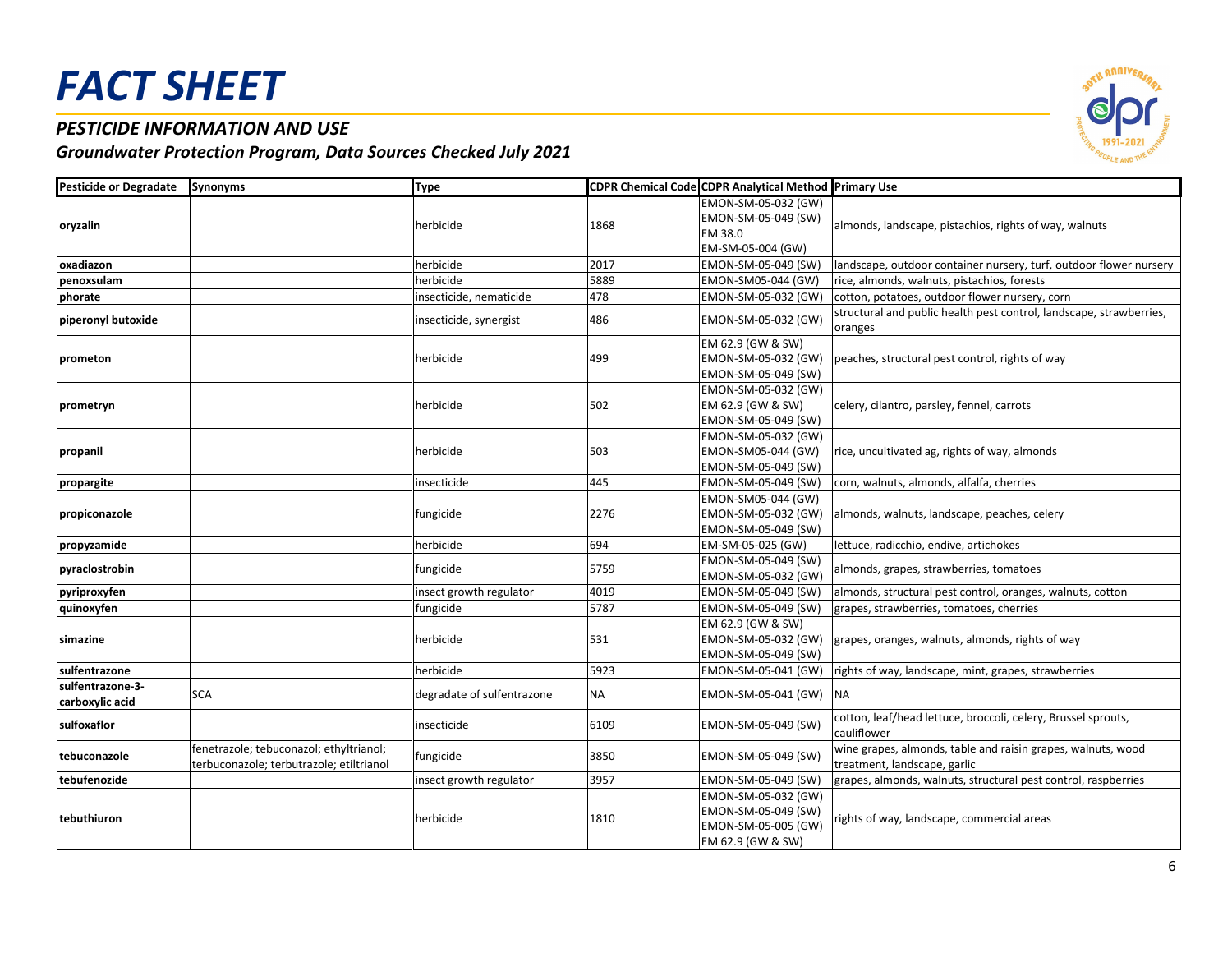### *PESTICIDE INFORMATION AND USE*

| <b>Pesticide or Degradate</b>       | <b>Synonyms</b>                                                                     | <b>Type</b>                |           | <b>CDPR Chemical Code CDPR Analytical Method Primary Use</b>                           |                                                                                              |
|-------------------------------------|-------------------------------------------------------------------------------------|----------------------------|-----------|----------------------------------------------------------------------------------------|----------------------------------------------------------------------------------------------|
| oryzalin                            |                                                                                     | herbicide                  | 1868      | EMON-SM-05-032 (GW)<br>EMON-SM-05-049 (SW)<br>EM 38.0<br>EM-SM-05-004 (GW)             | almonds, landscape, pistachios, rights of way, walnuts                                       |
| oxadiazon                           |                                                                                     | herbicide                  | 2017      | EMON-SM-05-049 (SW)                                                                    | landscape, outdoor container nursery, turf, outdoor flower nursery                           |
| penoxsulam                          |                                                                                     | herbicide                  | 5889      | EMON-SM05-044 (GW)                                                                     | rice, almonds, walnuts, pistachios, forests                                                  |
| phorate                             |                                                                                     | insecticide, nematicide    | 478       | EMON-SM-05-032 (GW)                                                                    | cotton, potatoes, outdoor flower nursery, corn                                               |
| piperonyl butoxide                  |                                                                                     | insecticide, synergist     | 486       | EMON-SM-05-032 (GW)                                                                    | structural and public health pest control, landscape, strawberries,<br>oranges               |
| prometon                            |                                                                                     | herbicide                  | 499       | EM 62.9 (GW & SW)<br>EMON-SM-05-032 (GW)<br>EMON-SM-05-049 (SW)                        | peaches, structural pest control, rights of way                                              |
| prometryn                           |                                                                                     | herbicide                  | 502       | EMON-SM-05-032 (GW)<br>EM 62.9 (GW & SW)<br>EMON-SM-05-049 (SW)                        | celery, cilantro, parsley, fennel, carrots                                                   |
| propanil                            |                                                                                     | herbicide                  | 503       | EMON-SM-05-032 (GW)<br>EMON-SM05-044 (GW)<br>EMON-SM-05-049 (SW)                       | rice, uncultivated ag, rights of way, almonds                                                |
| propargite                          |                                                                                     | insecticide                | 445       | EMON-SM-05-049 (SW)                                                                    | corn, walnuts, almonds, alfalfa, cherries                                                    |
| propiconazole                       |                                                                                     | fungicide                  | 2276      | EMON-SM05-044 (GW)<br>EMON-SM-05-032 (GW)<br>EMON-SM-05-049 (SW)                       | almonds, walnuts, landscape, peaches, celery                                                 |
| propyzamide                         |                                                                                     | herbicide                  | 694       | EM-SM-05-025 (GW)                                                                      | lettuce, radicchio, endive, artichokes                                                       |
| pyraclostrobin                      |                                                                                     | fungicide                  | 5759      | EMON-SM-05-049 (SW)<br>EMON-SM-05-032 (GW)                                             | almonds, grapes, strawberries, tomatoes                                                      |
| pyriproxyfen                        |                                                                                     | insect growth regulator    | 4019      | EMON-SM-05-049 (SW)                                                                    | almonds, structural pest control, oranges, walnuts, cotton                                   |
| quinoxyfen                          |                                                                                     | fungicide                  | 5787      | EMON-SM-05-049 (SW)                                                                    | grapes, strawberries, tomatoes, cherries                                                     |
| simazine                            |                                                                                     | herbicide                  | 531       | EM 62.9 (GW & SW)<br>EMON-SM-05-032 (GW)<br>EMON-SM-05-049 (SW)                        | grapes, oranges, walnuts, almonds, rights of way                                             |
| sulfentrazone                       |                                                                                     | herbicide                  | 5923      | EMON-SM-05-041 (GW)                                                                    | rights of way, landscape, mint, grapes, strawberries                                         |
| sulfentrazone-3-<br>carboxylic acid | <b>SCA</b>                                                                          | degradate of sulfentrazone | <b>NA</b> | EMON-SM-05-041 (GW)                                                                    | <b>NA</b>                                                                                    |
| sulfoxaflor                         |                                                                                     | insecticide                | 6109      | EMON-SM-05-049 (SW)                                                                    | cotton, leaf/head lettuce, broccoli, celery, Brussel sprouts,<br>cauliflower                 |
| tebuconazole                        | fenetrazole; tebuconazol; ethyltrianol;<br>terbuconazole; terbutrazole; etiltrianol | fungicide                  | 3850      | EMON-SM-05-049 (SW)                                                                    | wine grapes, almonds, table and raisin grapes, walnuts, wood<br>treatment, landscape, garlic |
| tebufenozide                        |                                                                                     | insect growth regulator    | 3957      | EMON-SM-05-049 (SW)                                                                    | grapes, almonds, walnuts, structural pest control, raspberries                               |
| tebuthiuron                         |                                                                                     | herbicide                  | 1810      | EMON-SM-05-032 (GW)<br>EMON-SM-05-049 (SW)<br>EMON-SM-05-005 (GW)<br>EM 62.9 (GW & SW) | rights of way, landscape, commercial areas                                                   |